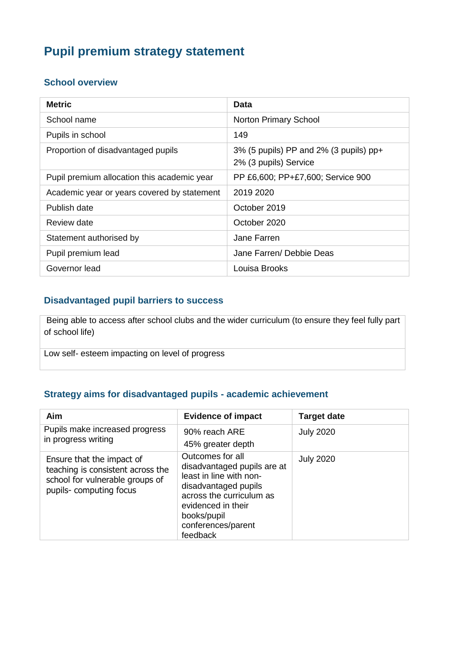# **Pupil premium strategy statement**

#### **School overview**

| <b>Metric</b>                               | Data                                                                  |
|---------------------------------------------|-----------------------------------------------------------------------|
| School name                                 | <b>Norton Primary School</b>                                          |
| Pupils in school                            | 149                                                                   |
| Proportion of disadvantaged pupils          | $3\%$ (5 pupils) PP and $2\%$ (3 pupils) pp+<br>2% (3 pupils) Service |
| Pupil premium allocation this academic year | PP £6,600; PP+£7,600; Service 900                                     |
| Academic year or years covered by statement | 2019 2020                                                             |
| Publish date                                | October 2019                                                          |
| Review date                                 | October 2020                                                          |
| Statement authorised by                     | Jane Farren                                                           |
| Pupil premium lead                          | Jane Farren/ Debbie Deas                                              |
| Governor lead                               | Louisa Brooks                                                         |

#### **Disadvantaged pupil barriers to success**

Being able to access after school clubs and the wider curriculum (to ensure they feel fully part of school life)

Low self- esteem impacting on level of progress

#### **Strategy aims for disadvantaged pupils - academic achievement**

| Aim                                                                                                                         | <b>Evidence of impact</b>                                                                                                                                                                             | <b>Target date</b> |
|-----------------------------------------------------------------------------------------------------------------------------|-------------------------------------------------------------------------------------------------------------------------------------------------------------------------------------------------------|--------------------|
| Pupils make increased progress<br>in progress writing                                                                       | 90% reach ARE<br>45% greater depth                                                                                                                                                                    | <b>July 2020</b>   |
| Ensure that the impact of<br>teaching is consistent across the<br>school for vulnerable groups of<br>pupils-computing focus | Outcomes for all<br>disadvantaged pupils are at<br>least in line with non-<br>disadvantaged pupils<br>across the curriculum as<br>evidenced in their<br>books/pupil<br>conferences/parent<br>feedback | <b>July 2020</b>   |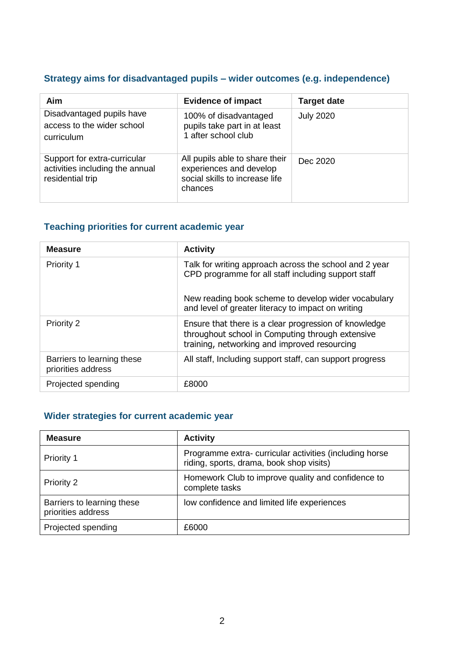### **Strategy aims for disadvantaged pupils – wider outcomes (e.g. independence)**

| Aim                                                                                 | <b>Evidence of impact</b>                                                                              | <b>Target date</b> |
|-------------------------------------------------------------------------------------|--------------------------------------------------------------------------------------------------------|--------------------|
| Disadvantaged pupils have<br>access to the wider school<br>curriculum               | 100% of disadvantaged<br>pupils take part in at least<br>1 after school club                           | <b>July 2020</b>   |
| Support for extra-curricular<br>activities including the annual<br>residential trip | All pupils able to share their<br>experiences and develop<br>social skills to increase life<br>chances | Dec 2020           |

### **Teaching priorities for current academic year**

| <b>Measure</b>                                   | <b>Activity</b>                                                                                                                                                      |
|--------------------------------------------------|----------------------------------------------------------------------------------------------------------------------------------------------------------------------|
| <b>Priority 1</b>                                | Talk for writing approach across the school and 2 year<br>CPD programme for all staff including support staff<br>New reading book scheme to develop wider vocabulary |
|                                                  | and level of greater literacy to impact on writing                                                                                                                   |
| <b>Priority 2</b>                                | Ensure that there is a clear progression of knowledge<br>throughout school in Computing through extensive<br>training, networking and improved resourcing            |
| Barriers to learning these<br>priorities address | All staff, Including support staff, can support progress                                                                                                             |
| Projected spending                               | £8000                                                                                                                                                                |

### **Wider strategies for current academic year**

| <b>Measure</b>                                   | <b>Activity</b>                                                                                    |
|--------------------------------------------------|----------------------------------------------------------------------------------------------------|
| Priority 1                                       | Programme extra-curricular activities (including horse<br>riding, sports, drama, book shop visits) |
| Priority 2                                       | Homework Club to improve quality and confidence to<br>complete tasks                               |
| Barriers to learning these<br>priorities address | low confidence and limited life experiences                                                        |
| Projected spending                               | £6000                                                                                              |